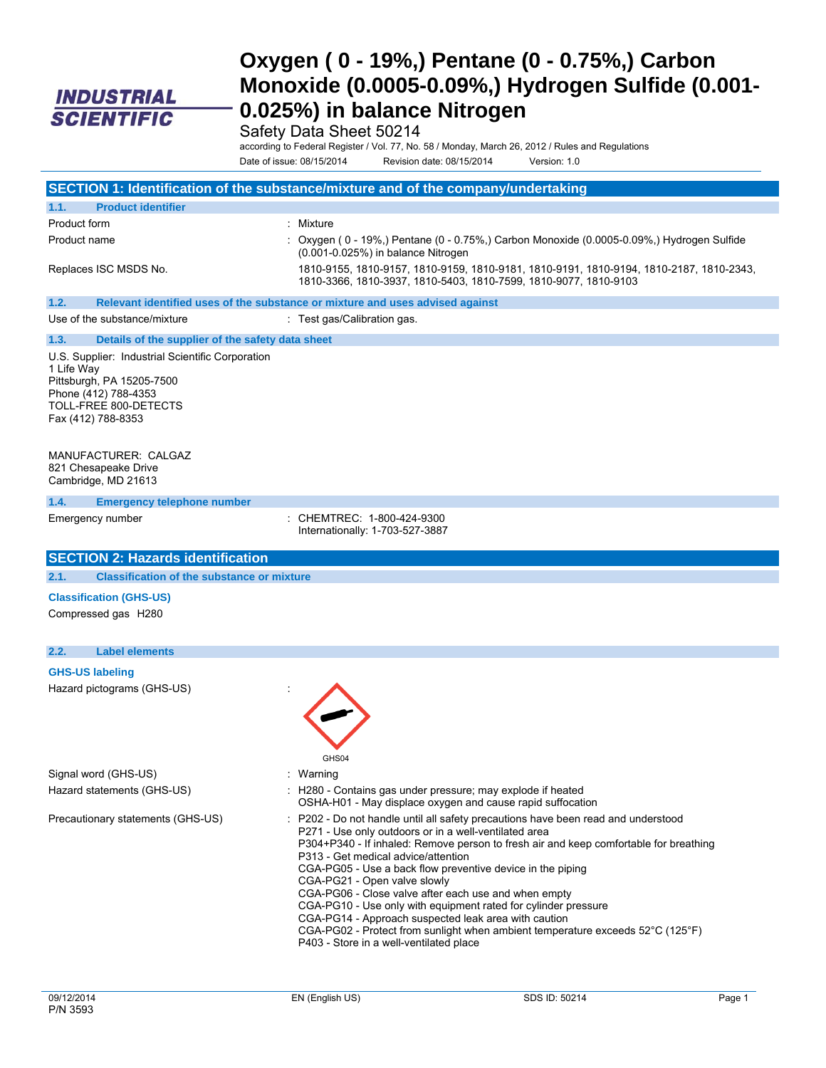

Safety Data Sheet 50214

according to Federal Register / Vol. 77, No. 58 / Monday, March 26, 2012 / Rules and Regulations Date of issue: 08/15/2014 Revision date: 08/15/2014 Version: 1.0

## **SECTION 1: Identification of the substance/mixture and of the company/undertaking 1.1. Product identifier**  Product form : Mixture : Mixture Product name : Cxygen ( 0 - 19%,) Pentane (0 - 0.75%,) Carbon Monoxide (0.0005-0.09%,) Hydrogen Sulfide (0.001-0.025%) in balance Nitrogen Replaces ISC MSDS No. 1810-9155, 1810-9157, 1810-9159, 1810-9181, 1810-9191, 1810-9194, 1810-2187, 1810-2343, 1810-3366, 1810-3937, 1810-5403, 1810-7599, 1810-9077, 1810-9103 **1.2. Relevant identified uses of the substance or mixture and uses advised against**  Use of the substance/mixture : Test gas/Calibration gas. **1.3. Details of the supplier of the safety data sheet**  U.S. Supplier: Industrial Scientific Corporation 1 Life Way Pittsburgh, PA 15205-7500 Phone (412) 788-4353 TOLL-FREE 800-DETECTS Fax (412) 788-8353 MANUFACTURER: CALGAZ 821 Chesapeake Drive Cambridge, MD 21613 **1.4. Emergency telephone number**  Emergency number : CHEMTREC: 1-800-424-9300 Internationally: 1-703-527-3887 **SECTION 2: Hazards identification 2.1. Classification of the substance or mixture Classification (GHS-US)**  Compressed gas H280 **2.2. Label elements GHS-US labeling**  Hazard pictograms (GHS-US) : GHS04 Signal word (GHS-US) : Warning Hazard statements (GHS-US) : H280 - Contains gas under pressure; may explode if heated OSHA-H01 - May displace oxygen and cause rapid suffocation Precautionary statements (GHS-US) : P202 - Do not handle until all safety precautions have been read and understood P271 - Use only outdoors or in a well-ventilated area P304+P340 - If inhaled: Remove person to fresh air and keep comfortable for breathing P313 - Get medical advice/attention CGA-PG05 - Use a back flow preventive device in the piping CGA-PG21 - Open valve slowly CGA-PG06 - Close valve after each use and when empty CGA-PG10 - Use only with equipment rated for cylinder pressure CGA-PG14 - Approach suspected leak area with caution CGA-PG02 - Protect from sunlight when ambient temperature exceeds 52°C (125°F) P403 - Store in a well-ventilated place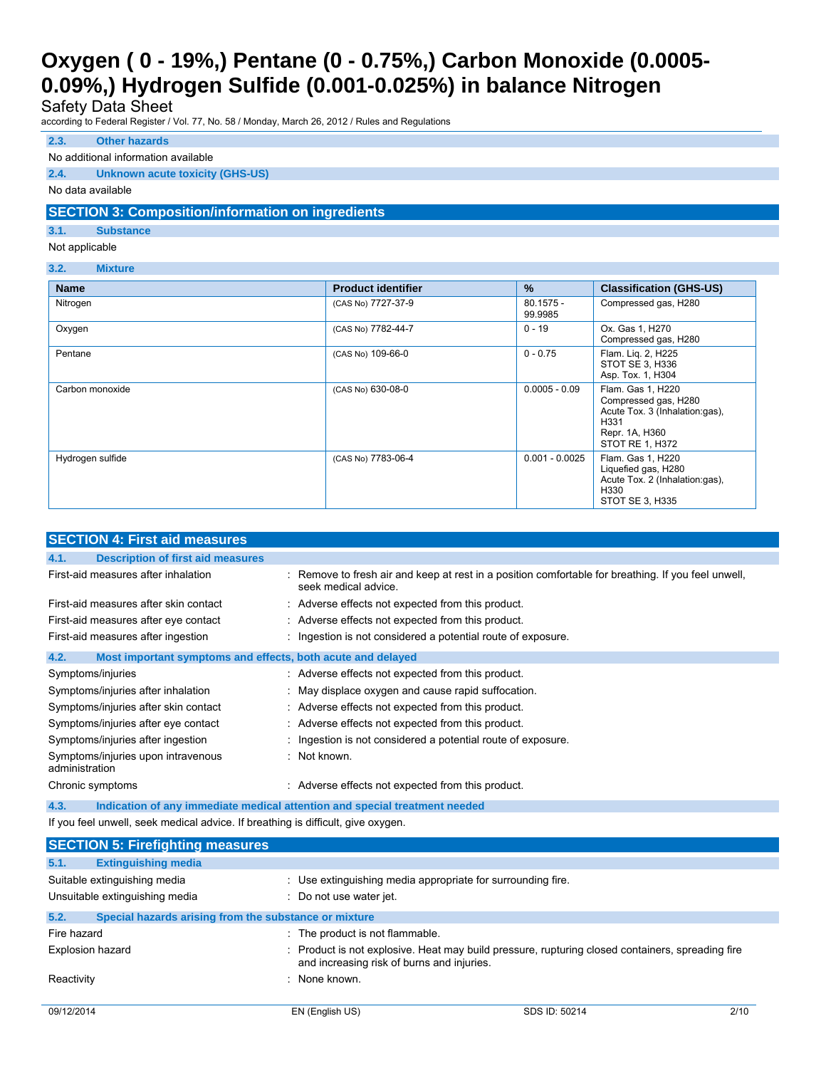Safety Data Sheet

according to Federal Register / Vol. 77, No. 58 / Monday, March 26, 2012 / Rules and Regulations

### **2.3. Other hazards**

### No additional information available

### **2.4. Unknown acute toxicity (GHS-US)**

No data available

## **SECTION 3: Composition/information on ingredients**

**3.1. Substance** 

### Not applicable

### **3.2. Mixture**

| <b>Name</b>      | <b>Product identifier</b> | $\%$                   | <b>Classification (GHS-US)</b>                                                                                           |
|------------------|---------------------------|------------------------|--------------------------------------------------------------------------------------------------------------------------|
| Nitrogen         | (CAS No) 7727-37-9        | $80.1575 -$<br>99.9985 | Compressed gas, H280                                                                                                     |
| Oxygen           | (CAS No) 7782-44-7        | $0 - 19$               | Ox. Gas 1, H270<br>Compressed gas, H280                                                                                  |
| Pentane          | (CAS No) 109-66-0         | $0 - 0.75$             | Flam. Lig. 2, H225<br>STOT SE 3, H336<br>Asp. Tox. 1, H304                                                               |
| Carbon monoxide  | (CAS No) 630-08-0         | $0.0005 - 0.09$        | Flam. Gas 1, H220<br>Compressed gas, H280<br>Acute Tox. 3 (Inhalation:gas),<br>H331<br>Repr. 1A, H360<br>STOT RE 1, H372 |
| Hydrogen sulfide | (CAS No) 7783-06-4        | $0.001 - 0.0025$       | Flam. Gas 1, H220<br>Liquefied gas, H280<br>Acute Tox. 2 (Inhalation:gas),<br>H330<br>STOT SE 3, H335                    |

| <b>SECTION 4: First aid measures</b>                                               |                                                                                                                             |
|------------------------------------------------------------------------------------|-----------------------------------------------------------------------------------------------------------------------------|
| <b>Description of first aid measures</b><br>4.1.                                   |                                                                                                                             |
| First-aid measures after inhalation                                                | : Remove to fresh air and keep at rest in a position comfortable for breathing. If you feel unwell,<br>seek medical advice. |
| First-aid measures after skin contact                                              | : Adverse effects not expected from this product.                                                                           |
| First-aid measures after eye contact                                               | : Adverse effects not expected from this product.                                                                           |
| First-aid measures after ingestion                                                 | : Ingestion is not considered a potential route of exposure.                                                                |
| 4.2.<br>Most important symptoms and effects, both acute and delayed                |                                                                                                                             |
| Symptoms/injuries                                                                  | : Adverse effects not expected from this product.                                                                           |
| Symptoms/injuries after inhalation                                                 | : May displace oxygen and cause rapid suffocation.                                                                          |
| Symptoms/injuries after skin contact                                               | : Adverse effects not expected from this product.                                                                           |
| Symptoms/injuries after eye contact                                                | : Adverse effects not expected from this product.                                                                           |
| Symptoms/injuries after ingestion                                                  | : Ingestion is not considered a potential route of exposure.                                                                |
| Symptoms/injuries upon intravenous<br>administration                               | : Not known.                                                                                                                |
| Chronic symptoms                                                                   | : Adverse effects not expected from this product.                                                                           |
| 4.3.<br>Indication of any immediate medical attention and special treatment needed |                                                                                                                             |

If you feel unwell, seek medical advice. If breathing is difficult, give oxygen.

|                         | <b>SECTION 5: Firefighting measures</b>               |                                                                                                                                                |
|-------------------------|-------------------------------------------------------|------------------------------------------------------------------------------------------------------------------------------------------------|
| 5.1.                    | <b>Extinguishing media</b>                            |                                                                                                                                                |
|                         | Suitable extinguishing media                          | : Use extinguishing media appropriate for surrounding fire.                                                                                    |
|                         | Unsuitable extinguishing media                        | : Do not use water jet.                                                                                                                        |
| 5.2.                    | Special hazards arising from the substance or mixture |                                                                                                                                                |
| Fire hazard             |                                                       | : The product is not flammable.                                                                                                                |
| <b>Explosion hazard</b> |                                                       | : Product is not explosive. Heat may build pressure, rupturing closed containers, spreading fire<br>and increasing risk of burns and injuries. |
| Reactivity              |                                                       | : None known.                                                                                                                                  |
|                         |                                                       |                                                                                                                                                |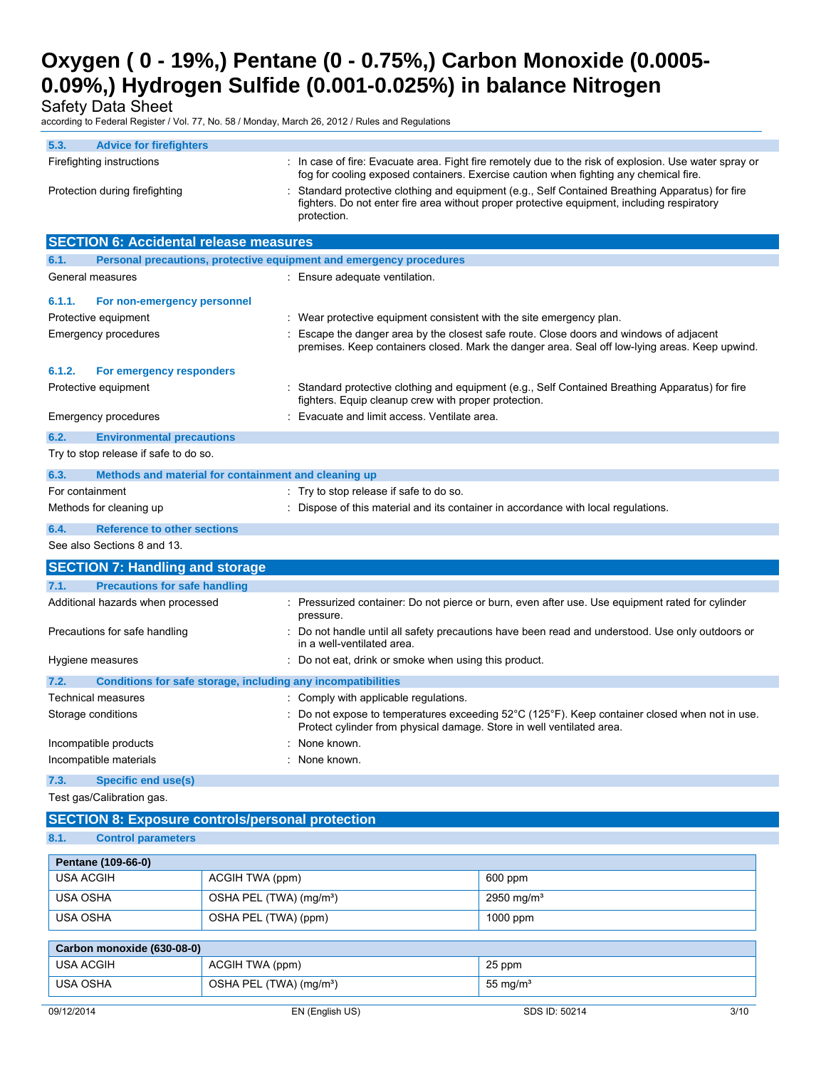Safety Data Sheet

according to Federal Register / Vol. 77, No. 58 / Monday, March 26, 2012 / Rules and Regulations

| 5.3.<br><b>Advice for firefighters</b>                                      |                                                                                                                                                                                                              |
|-----------------------------------------------------------------------------|--------------------------------------------------------------------------------------------------------------------------------------------------------------------------------------------------------------|
| Firefighting instructions                                                   | : In case of fire: Evacuate area. Fight fire remotely due to the risk of explosion. Use water spray or<br>fog for cooling exposed containers. Exercise caution when fighting any chemical fire.              |
| Protection during firefighting                                              | Standard protective clothing and equipment (e.g., Self Contained Breathing Apparatus) for fire<br>fighters. Do not enter fire area without proper protective equipment, including respiratory<br>protection. |
| <b>SECTION 6: Accidental release measures</b>                               |                                                                                                                                                                                                              |
| Personal precautions, protective equipment and emergency procedures<br>6.1. |                                                                                                                                                                                                              |
| General measures                                                            | : Ensure adequate ventilation.                                                                                                                                                                               |
| 6.1.1.<br>For non-emergency personnel                                       |                                                                                                                                                                                                              |
| Protective equipment                                                        | : Wear protective equipment consistent with the site emergency plan.                                                                                                                                         |
| Emergency procedures                                                        | Escape the danger area by the closest safe route. Close doors and windows of adjacent<br>premises. Keep containers closed. Mark the danger area. Seal off low-lying areas. Keep upwind.                      |
| 6.1.2.<br>For emergency responders                                          |                                                                                                                                                                                                              |
| Protective equipment                                                        | : Standard protective clothing and equipment (e.g., Self Contained Breathing Apparatus) for fire<br>fighters. Equip cleanup crew with proper protection.                                                     |
| Emergency procedures                                                        | : Evacuate and limit access. Ventilate area.                                                                                                                                                                 |
| <b>Environmental precautions</b><br>6.2.                                    |                                                                                                                                                                                                              |
| Try to stop release if safe to do so.                                       |                                                                                                                                                                                                              |
| Methods and material for containment and cleaning up<br>6.3.                |                                                                                                                                                                                                              |
| For containment                                                             | : Try to stop release if safe to do so.                                                                                                                                                                      |
| Methods for cleaning up                                                     | Dispose of this material and its container in accordance with local regulations.                                                                                                                             |
| <b>Reference to other sections</b><br>6.4.                                  |                                                                                                                                                                                                              |
| See also Sections 8 and 13.                                                 |                                                                                                                                                                                                              |
| <b>SECTION 7: Handling and storage</b>                                      |                                                                                                                                                                                                              |
| <b>Precautions for safe handling</b><br>7.1.                                |                                                                                                                                                                                                              |
| Additional hazards when processed                                           | Pressurized container: Do not pierce or burn, even after use. Use equipment rated for cylinder<br>pressure.                                                                                                  |

|                                                                      | in a well-ventilated area.                                                                                                                                            |
|----------------------------------------------------------------------|-----------------------------------------------------------------------------------------------------------------------------------------------------------------------|
| Hygiene measures                                                     | Do not eat, drink or smoke when using this product.                                                                                                                   |
| Conditions for safe storage, including any incompatibilities<br>7.2. |                                                                                                                                                                       |
| Technical measures                                                   | : Comply with applicable regulations.                                                                                                                                 |
| Storage conditions                                                   | Do not expose to temperatures exceeding 52°C (125°F). Keep container closed when not in use.<br>Protect cylinder from physical damage. Store in well ventilated area. |
| Incompatible products                                                | None known.                                                                                                                                                           |

Precautions for safe handling : Do not handle until all safety precautions have been read and understood. Use only outdoors or

Incompatible materials  $\blacksquare$  : None known.

```
7.3. Specific end use(s)
```
Test gas/Calibration gas.

## **SECTION 8: Exposure controls/personal protection**

```
8.1. Control parameters
```

| <b>Pentane (109-66-0)</b> |                                     |                          |  |  |
|---------------------------|-------------------------------------|--------------------------|--|--|
| USA ACGIH                 | ACGIH TWA (ppm)                     | 600 ppm                  |  |  |
| USA OSHA                  | OSHA PEL (TWA) (mg/m <sup>3</sup> ) | $2950 \,\mathrm{mq/m^3}$ |  |  |
| USA OSHA                  | OSHA PEL (TWA) (ppm)                | 1000 ppm                 |  |  |
|                           |                                     |                          |  |  |

| Carbon monoxide (630-08-0)                                          |                 |        |  |  |
|---------------------------------------------------------------------|-----------------|--------|--|--|
| USA ACGIH                                                           | ACGIH TWA (ppm) | 25 ppm |  |  |
| USA OSHA<br>OSHA PEL (TWA) (mg/m <sup>3</sup> )<br>55 mg/m $\rm ^3$ |                 |        |  |  |
|                                                                     |                 |        |  |  |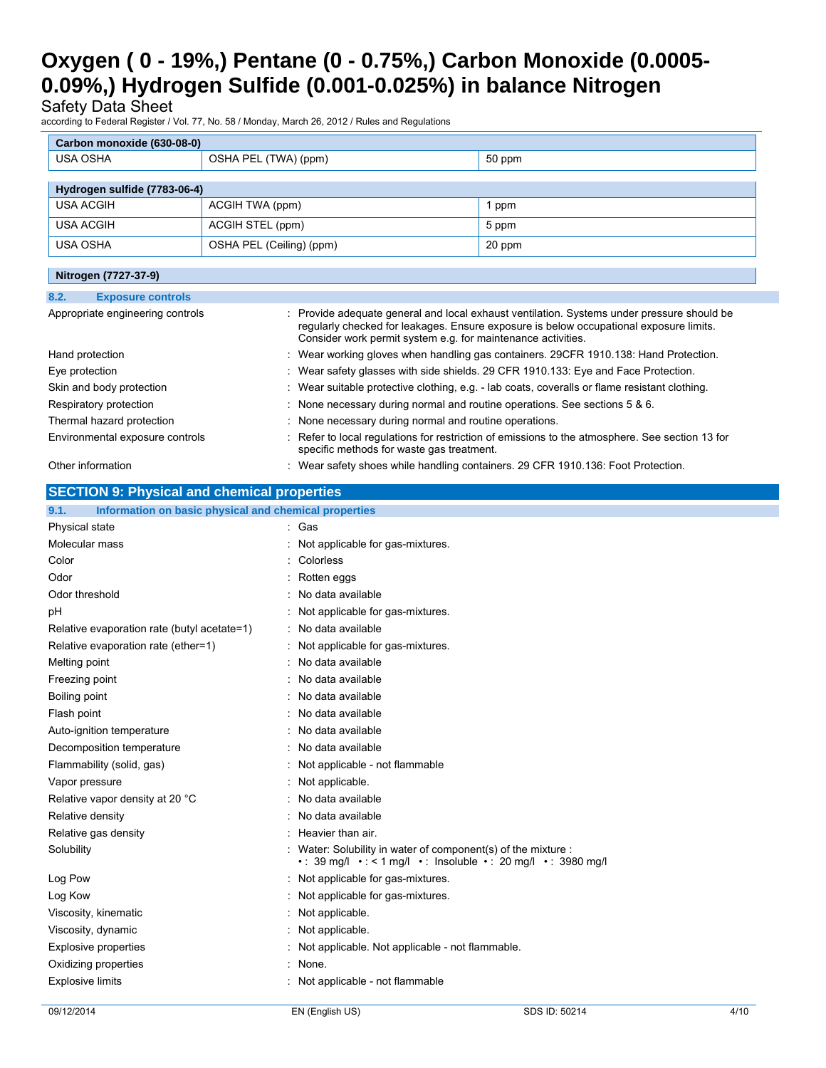Safety Data Sheet according to Federal Register / Vol. 77, No. 58 / Monday, March 26, 2012 / Rules and Regulations

| Carbon monoxide (630-08-0)                                    |                          |                                                                          |                                                                                                                                                                                      |
|---------------------------------------------------------------|--------------------------|--------------------------------------------------------------------------|--------------------------------------------------------------------------------------------------------------------------------------------------------------------------------------|
| USA OSHA                                                      | OSHA PEL (TWA) (ppm)     |                                                                          | 50 ppm                                                                                                                                                                               |
|                                                               |                          |                                                                          |                                                                                                                                                                                      |
| Hydrogen sulfide (7783-06-4)<br><b>USA ACGIH</b>              |                          |                                                                          |                                                                                                                                                                                      |
|                                                               | ACGIH TWA (ppm)          |                                                                          | 1 ppm                                                                                                                                                                                |
| <b>USA ACGIH</b>                                              | ACGIH STEL (ppm)         |                                                                          | 5 ppm                                                                                                                                                                                |
| USA OSHA                                                      | OSHA PEL (Ceiling) (ppm) |                                                                          | 20 ppm                                                                                                                                                                               |
| Nitrogen (7727-37-9)                                          |                          |                                                                          |                                                                                                                                                                                      |
| 8.2.<br><b>Exposure controls</b>                              |                          |                                                                          |                                                                                                                                                                                      |
| Appropriate engineering controls                              |                          | Consider work permit system e.g. for maintenance activities.             | : Provide adequate general and local exhaust ventilation. Systems under pressure should be<br>regularly checked for leakages. Ensure exposure is below occupational exposure limits. |
| Hand protection                                               |                          |                                                                          | Wear working gloves when handling gas containers. 29CFR 1910.138: Hand Protection.                                                                                                   |
| Eye protection                                                |                          |                                                                          | Wear safety glasses with side shields. 29 CFR 1910.133: Eye and Face Protection.                                                                                                     |
| Skin and body protection                                      |                          |                                                                          | Wear suitable protective clothing, e.g. - lab coats, coveralls or flame resistant clothing.                                                                                          |
| Respiratory protection                                        |                          | None necessary during normal and routine operations. See sections 5 & 6. |                                                                                                                                                                                      |
| Thermal hazard protection                                     |                          | None necessary during normal and routine operations.                     |                                                                                                                                                                                      |
| Environmental exposure controls                               |                          | specific methods for waste gas treatment.                                | Refer to local regulations for restriction of emissions to the atmosphere. See section 13 for                                                                                        |
| Other information                                             |                          |                                                                          | : Wear safety shoes while handling containers. 29 CFR 1910.136: Foot Protection.                                                                                                     |
| <b>SECTION 9: Physical and chemical properties</b>            |                          |                                                                          |                                                                                                                                                                                      |
| 9.1.<br>Information on basic physical and chemical properties |                          |                                                                          |                                                                                                                                                                                      |
| Physical state                                                |                          | : Gas                                                                    |                                                                                                                                                                                      |
| Molecular mass                                                |                          | Not applicable for gas-mixtures.                                         |                                                                                                                                                                                      |
| Color                                                         |                          | Colorless                                                                |                                                                                                                                                                                      |
| Odor                                                          |                          | Rotten eggs                                                              |                                                                                                                                                                                      |
| Odor threshold                                                |                          | No data available                                                        |                                                                                                                                                                                      |
| рH                                                            |                          | Not applicable for gas-mixtures.                                         |                                                                                                                                                                                      |
| Relative evaporation rate (butyl acetate=1)                   |                          | : No data available                                                      |                                                                                                                                                                                      |
| Relative evaporation rate (ether=1)                           |                          | Not applicable for gas-mixtures.                                         |                                                                                                                                                                                      |
| Melting point                                                 |                          | No data available                                                        |                                                                                                                                                                                      |
| Freezing point                                                |                          | No data available                                                        |                                                                                                                                                                                      |
| Boiling point                                                 |                          | No data available                                                        |                                                                                                                                                                                      |
| Flash point                                                   |                          | No data available                                                        |                                                                                                                                                                                      |
| Auto-ignition temperature                                     |                          | : No data available                                                      |                                                                                                                                                                                      |
| Decomposition temperature                                     |                          | No data available                                                        |                                                                                                                                                                                      |
| Flammability (solid, gas)                                     |                          | Not applicable - not flammable                                           |                                                                                                                                                                                      |
| Vapor pressure                                                |                          | Not applicable.                                                          |                                                                                                                                                                                      |
| Relative vapor density at 20 °C                               |                          | No data available                                                        |                                                                                                                                                                                      |
| Relative density                                              |                          | No data available                                                        |                                                                                                                                                                                      |
| Relative gas density                                          |                          | Heavier than air.                                                        |                                                                                                                                                                                      |
| Solubility                                                    |                          | Water: Solubility in water of component(s) of the mixture :              |                                                                                                                                                                                      |
|                                                               |                          | • : 39 mg/l • : < 1 mg/l • : lnsoluble • : 20 mg/l • : 3980 mg/l         |                                                                                                                                                                                      |
| Log Pow                                                       |                          | Not applicable for gas-mixtures.                                         |                                                                                                                                                                                      |
| Log Kow                                                       |                          | : Not applicable for gas-mixtures.                                       |                                                                                                                                                                                      |
|                                                               |                          | : Not applicable.                                                        |                                                                                                                                                                                      |
| Viscosity, kinematic                                          |                          |                                                                          |                                                                                                                                                                                      |
| Viscosity, dynamic                                            |                          | Not applicable.                                                          |                                                                                                                                                                                      |
| Explosive properties                                          |                          | Not applicable. Not applicable - not flammable.                          |                                                                                                                                                                                      |
| Oxidizing properties                                          |                          | : None.                                                                  |                                                                                                                                                                                      |

٦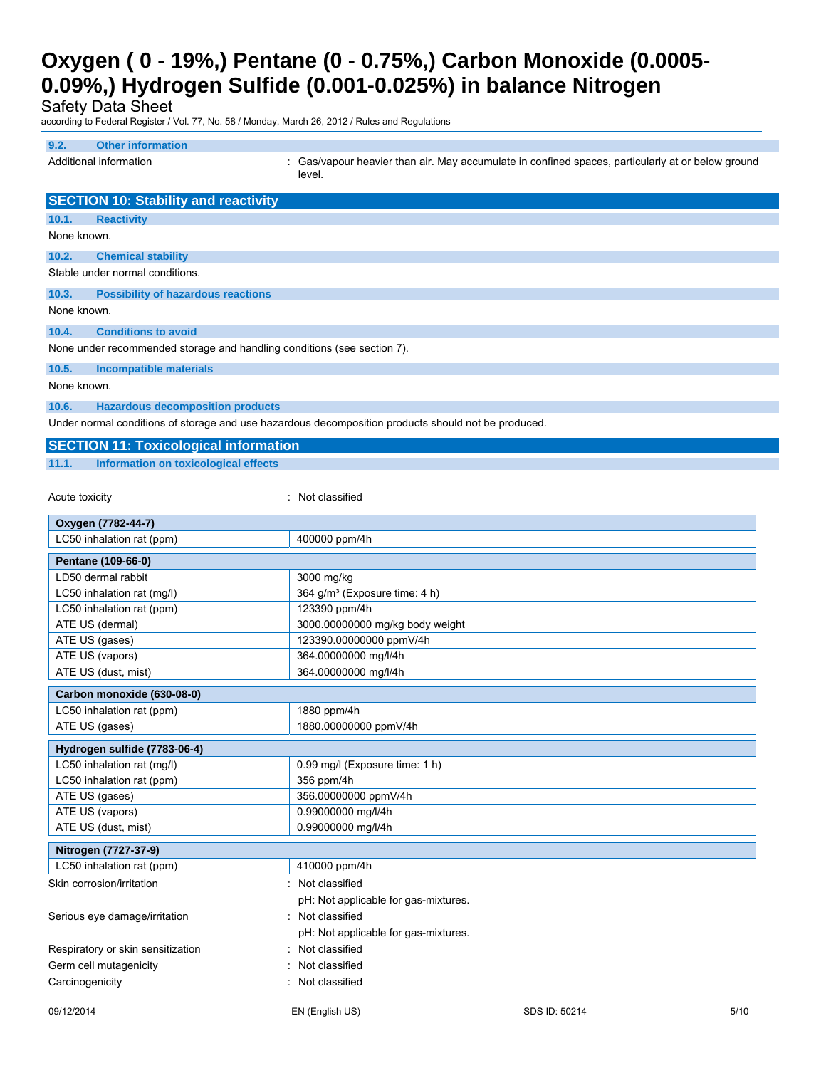Safety Data Sheet

according to Federal Register / Vol. 77, No. 58 / Monday, March 26, 2012 / Rules and Regulations

### **9.2. Other information**

Additional information **income than all than air**. May accumulate in confined spaces, particularly at or below ground level.

|             | <b>SECTION 10: Stability and reactivity</b>                                                         |
|-------------|-----------------------------------------------------------------------------------------------------|
| 10.1.       | <b>Reactivity</b>                                                                                   |
| None known. |                                                                                                     |
| 10.2.       | <b>Chemical stability</b>                                                                           |
|             | Stable under normal conditions.                                                                     |
| 10.3.       | <b>Possibility of hazardous reactions</b>                                                           |
| None known. |                                                                                                     |
| 10.4.       | <b>Conditions to avoid</b>                                                                          |
|             | None under recommended storage and handling conditions (see section 7).                             |
| 10.5.       | <b>Incompatible materials</b>                                                                       |
| None known. |                                                                                                     |
| 10.6.       | <b>Hazardous decomposition products</b>                                                             |
|             | Under normal conditions of storage and use hazardous decomposition products should not be produced. |
|             | <b>SECTION 11: Toxicological information</b>                                                        |
| 11.1.       | Information on toxicological effects                                                                |
|             |                                                                                                     |

Acute toxicity **in the case of the case of the case of the case of the case of the case of the case of the case of the case of the case of the case of the case of the case of the case of the case of the case of the case of** 

| Oxygen (7782-44-7)                |                                           |  |
|-----------------------------------|-------------------------------------------|--|
| LC50 inhalation rat (ppm)         | 400000 ppm/4h                             |  |
| Pentane (109-66-0)                |                                           |  |
| LD50 dermal rabbit                | 3000 mg/kg                                |  |
| LC50 inhalation rat (mg/l)        | 364 g/m <sup>3</sup> (Exposure time: 4 h) |  |
| LC50 inhalation rat (ppm)         | 123390 ppm/4h                             |  |
| ATE US (dermal)                   | 3000.00000000 mg/kg body weight           |  |
| ATE US (gases)                    | 123390.00000000 ppmV/4h                   |  |
| ATE US (vapors)                   | 364.00000000 mg/l/4h                      |  |
| ATE US (dust, mist)               | 364.00000000 mg/l/4h                      |  |
| Carbon monoxide (630-08-0)        |                                           |  |
| LC50 inhalation rat (ppm)         | 1880 ppm/4h                               |  |
| ATE US (gases)                    | 1880.00000000 ppmV/4h                     |  |
| Hydrogen sulfide (7783-06-4)      |                                           |  |
| LC50 inhalation rat (mg/l)        | 0.99 mg/l (Exposure time: 1 h)            |  |
| LC50 inhalation rat (ppm)         | 356 ppm/4h                                |  |
| ATE US (gases)                    | 356.00000000 ppmV/4h                      |  |
| ATE US (vapors)                   | 0.99000000 mg/l/4h                        |  |
| ATE US (dust, mist)               | 0.99000000 mg/l/4h                        |  |
| Nitrogen (7727-37-9)              |                                           |  |
| LC50 inhalation rat (ppm)         | 410000 ppm/4h                             |  |
| Skin corrosion/irritation         | Not classified                            |  |
|                                   | pH: Not applicable for gas-mixtures.      |  |
| Serious eye damage/irritation     | Not classified                            |  |
|                                   | pH: Not applicable for gas-mixtures.      |  |
| Respiratory or skin sensitization | Not classified                            |  |
| Germ cell mutagenicity            | Not classified                            |  |
| Carcinogenicity                   | Not classified                            |  |
|                                   |                                           |  |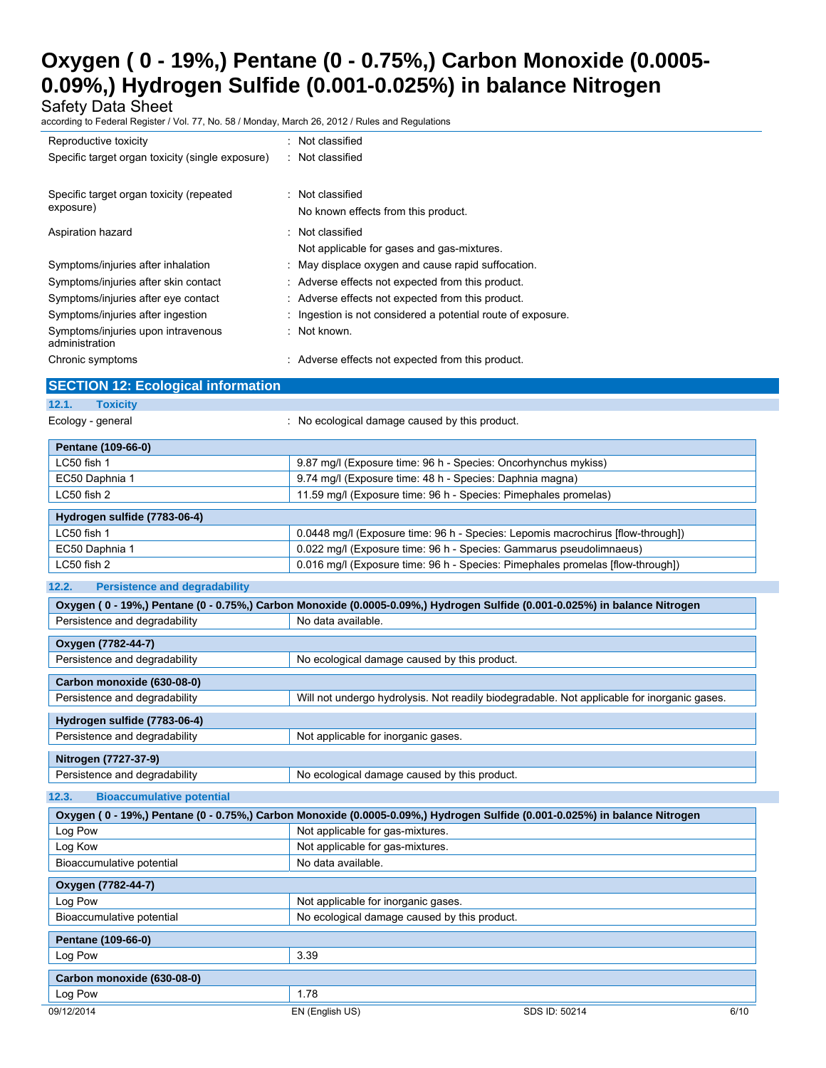Safety Data Sheet

according to Federal Register / Vol. 77, No. 58 / Monday, March 26, 2012 / Rules and Regulations

| Reproductive toxicity                                | : Not classified                                             |
|------------------------------------------------------|--------------------------------------------------------------|
| Specific target organ toxicity (single exposure)     | : Not classified                                             |
|                                                      |                                                              |
| Specific target organ toxicity (repeated             | : Not classified                                             |
| exposure)                                            | No known effects from this product.                          |
| Aspiration hazard                                    | : Not classified                                             |
|                                                      | Not applicable for gases and gas-mixtures.                   |
| Symptoms/injuries after inhalation                   | : May displace oxygen and cause rapid suffocation.           |
| Symptoms/injuries after skin contact                 | : Adverse effects not expected from this product.            |
| Symptoms/injuries after eye contact                  | : Adverse effects not expected from this product.            |
| Symptoms/injuries after ingestion                    | : Ingestion is not considered a potential route of exposure. |
| Symptoms/injuries upon intravenous<br>administration | : Not known.                                                 |
| Chronic symptoms                                     | : Adverse effects not expected from this product.            |

## **SECTION 12: Ecological information**

- **12.1. Toxicity**
- Ecology general **Ecology** general  $\cdot$  No ecological damage caused by this product.

| Pentane (109-66-0)           |                                                                                 |  |
|------------------------------|---------------------------------------------------------------------------------|--|
| LC50 fish 1                  | 9.87 mg/l (Exposure time: 96 h - Species: Oncorhynchus mykiss)                  |  |
| EC50 Daphnia 1               | 9.74 mg/l (Exposure time: 48 h - Species: Daphnia magna)                        |  |
| LC50 fish 2                  | 11.59 mg/l (Exposure time: 96 h - Species: Pimephales promelas)                 |  |
| Hydrogen sulfide (7783-06-4) |                                                                                 |  |
| LC50 fish 1                  | 0.0448 mg/l (Exposure time: 96 h - Species: Lepomis macrochirus [flow-through]) |  |
| EC50 Daphnia 1               | 0.022 mg/l (Exposure time: 96 h - Species: Gammarus pseudolimnaeus)             |  |
| LC50 fish 2                  | 0.016 mg/l (Exposure time: 96 h - Species: Pimephales promelas [flow-through])  |  |

### **12.2. Persistence and degradability**

| Oxygen (0 - 19%,) Pentane (0 - 0.75%,) Carbon Monoxide (0.0005-0.09%,) Hydrogen Sulfide (0.001-0.025%) in balance Nitrogen |                                                                                             |  |  |
|----------------------------------------------------------------------------------------------------------------------------|---------------------------------------------------------------------------------------------|--|--|
| Persistence and degradability                                                                                              | No data available.                                                                          |  |  |
| Oxygen (7782-44-7)                                                                                                         |                                                                                             |  |  |
| Persistence and degradability                                                                                              | No ecological damage caused by this product.                                                |  |  |
| Carbon monoxide (630-08-0)                                                                                                 |                                                                                             |  |  |
| Persistence and degradability                                                                                              | Will not undergo hydrolysis. Not readily biodegradable. Not applicable for inorganic gases. |  |  |
| Hydrogen sulfide (7783-06-4)                                                                                               |                                                                                             |  |  |
| Persistence and degradability                                                                                              | Not applicable for inorganic gases.                                                         |  |  |
| Nitrogen (7727-37-9)                                                                                                       |                                                                                             |  |  |
| Persistence and degradability                                                                                              | No ecological damage caused by this product.                                                |  |  |

#### **12.3. Bioaccumulative potential**

| Oxygen (0 - 19%,) Pentane (0 - 0.75%,) Carbon Monoxide (0.0005-0.09%,) Hydrogen Sulfide (0.001-0.025%) in balance Nitrogen |                                              |               |      |
|----------------------------------------------------------------------------------------------------------------------------|----------------------------------------------|---------------|------|
| Log Pow                                                                                                                    | Not applicable for gas-mixtures.             |               |      |
| Log Kow                                                                                                                    | Not applicable for gas-mixtures.             |               |      |
| Bioaccumulative potential                                                                                                  | No data available.                           |               |      |
| Oxygen (7782-44-7)                                                                                                         |                                              |               |      |
| Log Pow                                                                                                                    | Not applicable for inorganic gases.          |               |      |
| Bioaccumulative potential                                                                                                  | No ecological damage caused by this product. |               |      |
| Pentane (109-66-0)                                                                                                         |                                              |               |      |
| Log Pow                                                                                                                    | 3.39                                         |               |      |
| Carbon monoxide (630-08-0)                                                                                                 |                                              |               |      |
| Log Pow                                                                                                                    | 1.78                                         |               |      |
| 09/12/2014                                                                                                                 | EN (English US)                              | SDS ID: 50214 | 6/10 |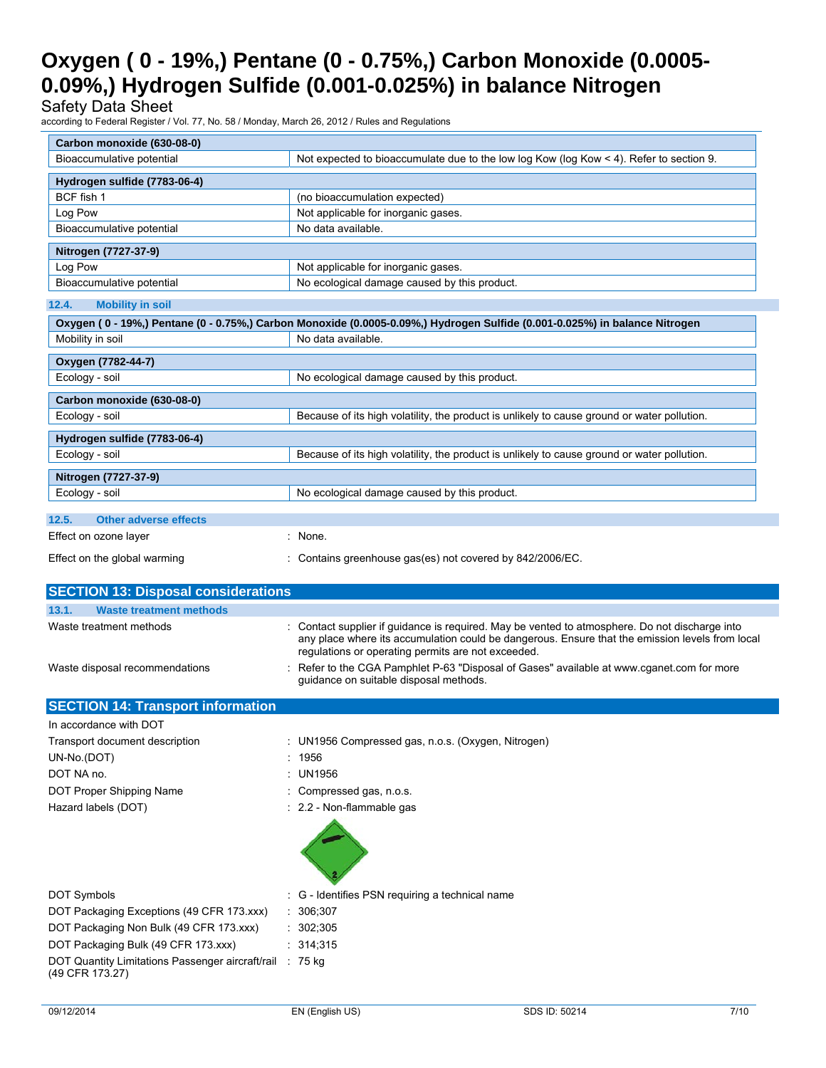Safety Data Sheet according to Federal Register / Vol. 77, No. 58 / Monday, March 26, 2012 / Rules and Regulations

| Carbon monoxide (630-08-0)                       |                                                                                                                                   |
|--------------------------------------------------|-----------------------------------------------------------------------------------------------------------------------------------|
| Bioaccumulative potential                        | Not expected to bioaccumulate due to the low log Kow (log Kow $\leq$ 4). Refer to section 9.                                      |
| Hydrogen sulfide (7783-06-4)                     |                                                                                                                                   |
| BCF fish 1                                       | (no bioaccumulation expected)                                                                                                     |
| Log Pow                                          | Not applicable for inorganic gases.                                                                                               |
| Bioaccumulative potential                        | No data available.                                                                                                                |
| Nitrogen (7727-37-9)                             |                                                                                                                                   |
| Log Pow                                          | Not applicable for inorganic gases.                                                                                               |
| Bioaccumulative potential                        | No ecological damage caused by this product.                                                                                      |
|                                                  |                                                                                                                                   |
| <b>Mobility in soil</b><br>12.4.                 |                                                                                                                                   |
|                                                  | Oxygen (0 - 19%,) Pentane (0 - 0.75%,) Carbon Monoxide (0.0005-0.09%,) Hydrogen Sulfide (0.001-0.025%) in balance Nitrogen        |
| Mobility in soil                                 | No data available.                                                                                                                |
| Oxygen (7782-44-7)                               |                                                                                                                                   |
| Ecology - soil                                   | No ecological damage caused by this product.                                                                                      |
| Carbon monoxide (630-08-0)                       |                                                                                                                                   |
| Ecology - soil                                   | Because of its high volatility, the product is unlikely to cause ground or water pollution.                                       |
| Hydrogen sulfide (7783-06-4)                     |                                                                                                                                   |
| Ecology - soil                                   | Because of its high volatility, the product is unlikely to cause ground or water pollution.                                       |
|                                                  |                                                                                                                                   |
| Nitrogen (7727-37-9)                             |                                                                                                                                   |
| Ecology - soil                                   | No ecological damage caused by this product.                                                                                      |
| 12.5.<br><b>Other adverse effects</b>            |                                                                                                                                   |
| Effect on ozone layer                            | : None.                                                                                                                           |
| Effect on the global warming                     | : Contains greenhouse gas(es) not covered by $842/2006$ /EC.                                                                      |
|                                                  |                                                                                                                                   |
| <b>SECTION 13: Disposal considerations</b>       |                                                                                                                                   |
| 13.1.<br><b>Waste treatment methods</b>          |                                                                                                                                   |
| Waste treatment methods                          | Contact supplier if guidance is required. May be vented to atmosphere. Do not discharge into                                      |
|                                                  | any place where its accumulation could be dangerous. Ensure that the emission levels from local                                   |
|                                                  | regulations or operating permits are not exceeded.                                                                                |
| Waste disposal recommendations                   | Refer to the CGA Pamphlet P-63 "Disposal of Gases" available at www.cganet.com for more<br>guidance on suitable disposal methods. |
|                                                  |                                                                                                                                   |
| <b>SECTION 14: Transport information</b>         |                                                                                                                                   |
| In accordance with DOT                           |                                                                                                                                   |
| Transport document description                   | UN1956 Compressed gas, n.o.s. (Oxygen, Nitrogen)                                                                                  |
| UN-No.(DOT)                                      | 1956                                                                                                                              |
| DOT NA no.                                       | <b>UN1956</b>                                                                                                                     |
| DOT Proper Shipping Name                         | : Compressed gas, n.o.s.                                                                                                          |
| Hazard labels (DOT)                              | : 2.2 - Non-flammable gas                                                                                                         |
|                                                  |                                                                                                                                   |
|                                                  |                                                                                                                                   |
| <b>DOT Symbols</b>                               | : G - Identifies PSN requiring a technical name                                                                                   |
| DOT Packaging Exceptions (49 CFR 173.xxx)        | : 306;307                                                                                                                         |
| DOT Packaging Non Bulk (49 CFR 173.xxx)          | : 302;305                                                                                                                         |
| DOT Packaging Bulk (49 CFR 173.xxx)              | : 314;315                                                                                                                         |
| DOT Quantity Limitations Passenger aircraft/rail |                                                                                                                                   |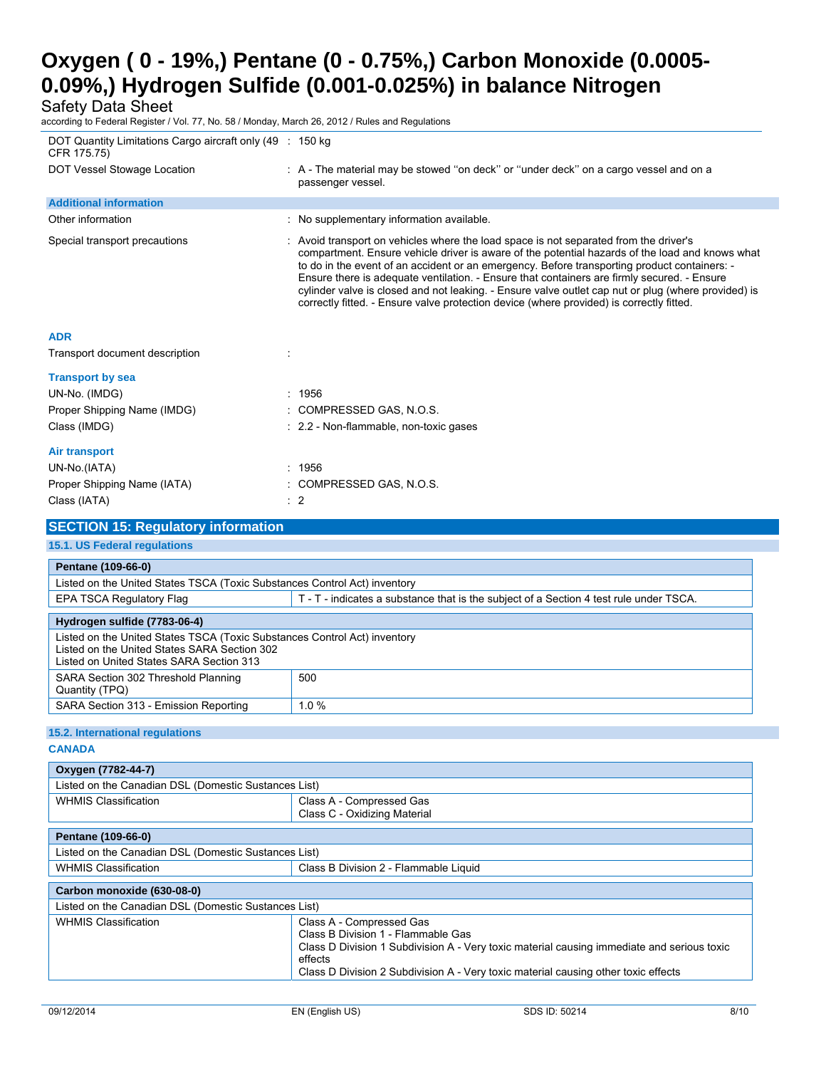Safety Data Sheet according to Federal Register / Vol. 77, No. 58 / Monday, March 26, 2012 / Rules and Regulations

| according to Federal Register / Vol. 77, No. 58 / Monday, March 26, 2012 / Rules and Regulations                                                                      |                                                                                                                                                                                                                                                                                                                                                                                                                                                                                                                                                                                            |
|-----------------------------------------------------------------------------------------------------------------------------------------------------------------------|--------------------------------------------------------------------------------------------------------------------------------------------------------------------------------------------------------------------------------------------------------------------------------------------------------------------------------------------------------------------------------------------------------------------------------------------------------------------------------------------------------------------------------------------------------------------------------------------|
| DOT Quantity Limitations Cargo aircraft only (49 : 150 kg)<br>CFR 175.75)                                                                                             |                                                                                                                                                                                                                                                                                                                                                                                                                                                                                                                                                                                            |
| DOT Vessel Stowage Location                                                                                                                                           | : A - The material may be stowed "on deck" or "under deck" on a cargo vessel and on a<br>passenger vessel.                                                                                                                                                                                                                                                                                                                                                                                                                                                                                 |
| <b>Additional information</b>                                                                                                                                         |                                                                                                                                                                                                                                                                                                                                                                                                                                                                                                                                                                                            |
| Other information                                                                                                                                                     | : No supplementary information available.                                                                                                                                                                                                                                                                                                                                                                                                                                                                                                                                                  |
| Special transport precautions                                                                                                                                         | : Avoid transport on vehicles where the load space is not separated from the driver's<br>compartment. Ensure vehicle driver is aware of the potential hazards of the load and knows what<br>to do in the event of an accident or an emergency. Before transporting product containers: -<br>Ensure there is adequate ventilation. - Ensure that containers are firmly secured. - Ensure<br>cylinder valve is closed and not leaking. - Ensure valve outlet cap nut or plug (where provided) is<br>correctly fitted. - Ensure valve protection device (where provided) is correctly fitted. |
| <b>ADR</b>                                                                                                                                                            |                                                                                                                                                                                                                                                                                                                                                                                                                                                                                                                                                                                            |
| Transport document description                                                                                                                                        |                                                                                                                                                                                                                                                                                                                                                                                                                                                                                                                                                                                            |
| <b>Transport by sea</b>                                                                                                                                               |                                                                                                                                                                                                                                                                                                                                                                                                                                                                                                                                                                                            |
| UN-No. (IMDG)                                                                                                                                                         | : 1956                                                                                                                                                                                                                                                                                                                                                                                                                                                                                                                                                                                     |
| Proper Shipping Name (IMDG)                                                                                                                                           | : COMPRESSED GAS, N.O.S.                                                                                                                                                                                                                                                                                                                                                                                                                                                                                                                                                                   |
| Class (IMDG)                                                                                                                                                          | : 2.2 - Non-flammable, non-toxic gases                                                                                                                                                                                                                                                                                                                                                                                                                                                                                                                                                     |
| <b>Air transport</b>                                                                                                                                                  |                                                                                                                                                                                                                                                                                                                                                                                                                                                                                                                                                                                            |
| UN-No.(IATA)                                                                                                                                                          | : 1956                                                                                                                                                                                                                                                                                                                                                                                                                                                                                                                                                                                     |
| Proper Shipping Name (IATA)                                                                                                                                           | : COMPRESSED GAS, N.O.S.                                                                                                                                                                                                                                                                                                                                                                                                                                                                                                                                                                   |
| Class (IATA)                                                                                                                                                          | $\therefore$ 2                                                                                                                                                                                                                                                                                                                                                                                                                                                                                                                                                                             |
| <b>SECTION 15: Regulatory information</b>                                                                                                                             |                                                                                                                                                                                                                                                                                                                                                                                                                                                                                                                                                                                            |
| 15.1. US Federal regulations                                                                                                                                          |                                                                                                                                                                                                                                                                                                                                                                                                                                                                                                                                                                                            |
| Pentane (109-66-0)                                                                                                                                                    |                                                                                                                                                                                                                                                                                                                                                                                                                                                                                                                                                                                            |
| Listed on the United States TSCA (Toxic Substances Control Act) inventory                                                                                             |                                                                                                                                                                                                                                                                                                                                                                                                                                                                                                                                                                                            |
| EPA TSCA Regulatory Flag<br>T - T - indicates a substance that is the subject of a Section 4 test rule under TSCA.                                                    |                                                                                                                                                                                                                                                                                                                                                                                                                                                                                                                                                                                            |
| Hydrogen sulfide (7783-06-4)                                                                                                                                          |                                                                                                                                                                                                                                                                                                                                                                                                                                                                                                                                                                                            |
| Listed on the United States TSCA (Toxic Substances Control Act) inventory<br>Listed on the United States SARA Section 302<br>Listed on United States SARA Section 313 |                                                                                                                                                                                                                                                                                                                                                                                                                                                                                                                                                                                            |
| SARA Section 302 Threshold Planning<br>Quantity (TPQ)                                                                                                                 | 500                                                                                                                                                                                                                                                                                                                                                                                                                                                                                                                                                                                        |
| SARA Section 313 - Emission Reporting                                                                                                                                 | 1.0%                                                                                                                                                                                                                                                                                                                                                                                                                                                                                                                                                                                       |
| 15.2. International regulations                                                                                                                                       |                                                                                                                                                                                                                                                                                                                                                                                                                                                                                                                                                                                            |
| <b>CANADA</b>                                                                                                                                                         |                                                                                                                                                                                                                                                                                                                                                                                                                                                                                                                                                                                            |
| Oxygen (7782-44-7)                                                                                                                                                    |                                                                                                                                                                                                                                                                                                                                                                                                                                                                                                                                                                                            |
| Listed on the Canadian DSL (Domestic Sustances List)                                                                                                                  |                                                                                                                                                                                                                                                                                                                                                                                                                                                                                                                                                                                            |
| <b>WHMIS Classification</b>                                                                                                                                           | Class A - Compressed Gas<br>Class C - Oxidizing Material                                                                                                                                                                                                                                                                                                                                                                                                                                                                                                                                   |
| Pentane (109-66-0)                                                                                                                                                    |                                                                                                                                                                                                                                                                                                                                                                                                                                                                                                                                                                                            |
| Listed on the Canadian DSL (Domestic Sustances List)                                                                                                                  |                                                                                                                                                                                                                                                                                                                                                                                                                                                                                                                                                                                            |
| <b>WHMIS Classification</b>                                                                                                                                           | Class B Division 2 - Flammable Liquid                                                                                                                                                                                                                                                                                                                                                                                                                                                                                                                                                      |

| Carbon monoxide (630-08-0)                           |                                                                                                                                                                                                                                                               |  |
|------------------------------------------------------|---------------------------------------------------------------------------------------------------------------------------------------------------------------------------------------------------------------------------------------------------------------|--|
| Listed on the Canadian DSL (Domestic Sustances List) |                                                                                                                                                                                                                                                               |  |
| <b>WHMIS Classification</b>                          | Class A - Compressed Gas<br>Class B Division 1 - Flammable Gas<br>Class D Division 1 Subdivision A - Very toxic material causing immediate and serious toxic<br>effects<br>Class D Division 2 Subdivision A - Very toxic material causing other toxic effects |  |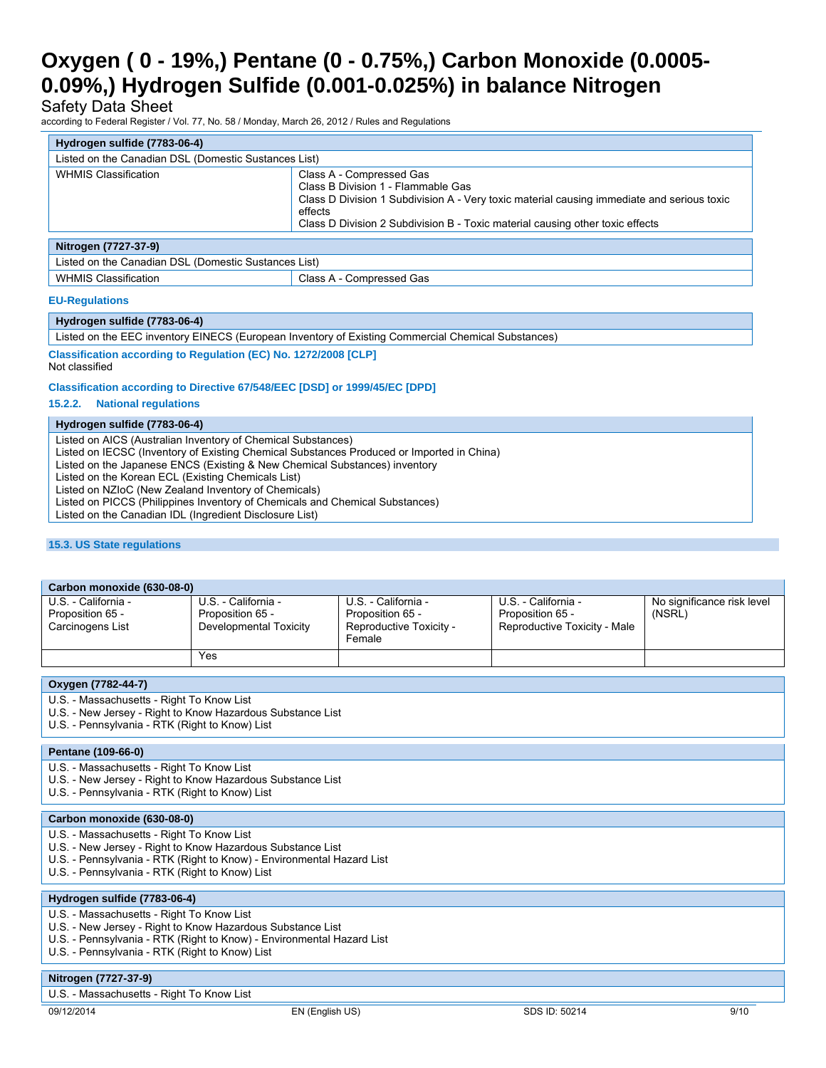Safety Data Sheet

according to Federal Register / Vol. 77, No. 58 / Monday, March 26, 2012 / Rules and Regulations

| Hydrogen sulfide (7783-06-4)                         |                                                                                                                                                                                                                                                          |  |
|------------------------------------------------------|----------------------------------------------------------------------------------------------------------------------------------------------------------------------------------------------------------------------------------------------------------|--|
| Listed on the Canadian DSL (Domestic Sustances List) |                                                                                                                                                                                                                                                          |  |
| <b>WHMIS Classification</b>                          | Class A - Compressed Gas<br>Class B Division 1 - Flammable Gas<br>Class D Division 1 Subdivision A - Very toxic material causing immediate and serious toxic<br>effects<br>Class D Division 2 Subdivision B - Toxic material causing other toxic effects |  |
| Nitrogen (7727-37-9)                                 |                                                                                                                                                                                                                                                          |  |
| Listed on the Canadian DSL (Domestic Sustances List) |                                                                                                                                                                                                                                                          |  |

| $\cdots$<br>DSI<br>List'<br>(Domestic<br>ا canadian<br>the<br>: Sustances<br>_istec<br>or |         |  |
|-------------------------------------------------------------------------------------------|---------|--|
| $\cdot$                                                                                   | Gas     |  |
| WHMIS                                                                                     | `ompre⊾ |  |
| Classification                                                                            | esseu   |  |

#### **EU-Regulations**

| Hydrogen sulfide (7783-06-4)                                                                       |
|----------------------------------------------------------------------------------------------------|
| Listed on the EEC inventory EINECS (European Inventory of Existing Commercial Chemical Substances) |

**Classification according to Regulation (EC) No. 1272/2008 [CLP]**  Not classified

### **Classification according to Directive 67/548/EEC [DSD] or 1999/45/EC [DPD]**

### **15.2.2. National regulations**

**Hydrogen sulfide (7783-06-4)** 

Listed on AICS (Australian Inventory of Chemical Substances) Listed on IECSC (Inventory of Existing Chemical Substances Produced or Imported in China)

Listed on the Japanese ENCS (Existing & New Chemical Substances) inventory Listed on the Korean ECL (Existing Chemicals List)

Listed on NZIoC (New Zealand Inventory of Chemicals) Listed on PICCS (Philippines Inventory of Chemicals and Chemical Substances)

Listed on the Canadian IDL (Ingredient Disclosure List)

### **15.3. US State regulations**

| Carbon monoxide (630-08-0)                                                                  |                                                                                                                                     |                                         |                                         |                                      |
|---------------------------------------------------------------------------------------------|-------------------------------------------------------------------------------------------------------------------------------------|-----------------------------------------|-----------------------------------------|--------------------------------------|
| U.S. - California -<br>Proposition 65 -                                                     | U.S. - California -<br>Proposition 65 -                                                                                             | U.S. - California -<br>Proposition 65 - | U.S. - California -<br>Proposition 65 - | No significance risk level<br>(NSRL) |
| Carcinogens List                                                                            | Developmental Toxicity                                                                                                              | Reproductive Toxicity -                 | Reproductive Toxicity - Male            |                                      |
|                                                                                             |                                                                                                                                     | Female                                  |                                         |                                      |
|                                                                                             | Yes                                                                                                                                 |                                         |                                         |                                      |
| Oxygen (7782-44-7)                                                                          |                                                                                                                                     |                                         |                                         |                                      |
| U.S. - Massachusetts - Right To Know List<br>U.S. - Pennsylvania - RTK (Right to Know) List | U.S. - New Jersey - Right to Know Hazardous Substance List                                                                          |                                         |                                         |                                      |
| Pentane (109-66-0)                                                                          |                                                                                                                                     |                                         |                                         |                                      |
| U.S. - Massachusetts - Right To Know List                                                   |                                                                                                                                     |                                         |                                         |                                      |
| U.S. - Pennsylvania - RTK (Right to Know) List                                              | U.S. - New Jersey - Right to Know Hazardous Substance List                                                                          |                                         |                                         |                                      |
|                                                                                             |                                                                                                                                     |                                         |                                         |                                      |
| Carbon monoxide (630-08-0)                                                                  |                                                                                                                                     |                                         |                                         |                                      |
| U.S. - Massachusetts - Right To Know List                                                   |                                                                                                                                     |                                         |                                         |                                      |
|                                                                                             | U.S. - New Jersey - Right to Know Hazardous Substance List<br>U.S. - Pennsylvania - RTK (Right to Know) - Environmental Hazard List |                                         |                                         |                                      |
| U.S. - Pennsylvania - RTK (Right to Know) List                                              |                                                                                                                                     |                                         |                                         |                                      |
| Hydrogen sulfide (7783-06-4)                                                                |                                                                                                                                     |                                         |                                         |                                      |
| U.S. - Massachusetts - Right To Know List                                                   |                                                                                                                                     |                                         |                                         |                                      |
| U.S. - New Jersey - Right to Know Hazardous Substance List                                  |                                                                                                                                     |                                         |                                         |                                      |
| U.S. - Pennsylvania - RTK (Right to Know) - Environmental Hazard List                       |                                                                                                                                     |                                         |                                         |                                      |
| U.S. - Pennsylvania - RTK (Right to Know) List                                              |                                                                                                                                     |                                         |                                         |                                      |
| Nitrogen (7727-37-9)                                                                        |                                                                                                                                     |                                         |                                         |                                      |
| U.S. - Massachusetts - Right To Know List                                                   |                                                                                                                                     |                                         |                                         |                                      |
| 09/12/2014                                                                                  | EN (English US)                                                                                                                     |                                         | SDS ID: 50214                           | 9/10                                 |